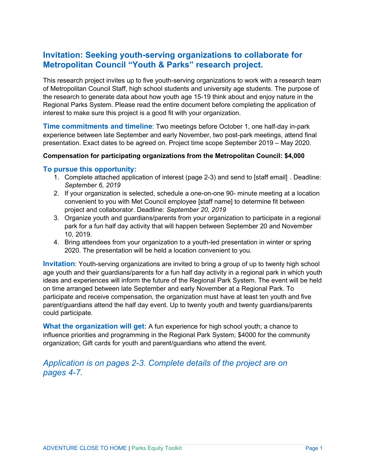# **Invitation: Seeking youth-serving organizations to collaborate for Metropolitan Council "Youth & Parks" research project.**

This research project invites up to five youth-serving organizations to work with a research team of Metropolitan Council Staff, high school students and university age students. The purpose of the research to generate data about how youth age 15-19 think about and enjoy nature in the Regional Parks System. Please read the entire document before completing the application of interest to make sure this project is a good fit with your organization.

**Time commitments and timeline**: Two meetings before October 1, one half-day in-park experience between late September and early November, two post-park meetings, attend final presentation. Exact dates to be agreed on. Project time scope September 2019 – May 2020.

### **Compensation for participating organizations from the Metropolitan Council: \$4,000**

### **To pursue this opportunity:**

- 1. Complete attached application of interest (page 2-3) and send to [staff email] . Deadline: *September 6, 2019*
- 2. If your organization is selected, schedule a one-on-one 90- minute meeting at a location convenient to you with Met Council employee [staff name] to determine fit between project and collaborator. Deadline: *September 20, 2019*
- 3. Organize youth and guardians/parents from your organization to participate in a regional park for a fun half day activity that will happen between September 20 and November 10, 2019.
- 4. Bring attendees from your organization to a youth-led presentation in winter or spring 2020. The presentation will be held a location convenient to you.

**Invitation**: Youth-serving organizations are invited to bring a group of up to twenty high school age youth and their guardians/parents for a fun half day activity in a regional park in which youth ideas and experiences will inform the future of the Regional Park System. The event will be held on time arranged between late September and early November at a Regional Park. To participate and receive compensation, the organization must have at least ten youth and five parent/guardians attend the half day event. Up to twenty youth and twenty guardians/parents could participate.

**What the organization will get:** A fun experience for high school youth; a chance to influence priorities and programming in the Regional Park System; \$4000 for the community organization; Gift cards for youth and parent/guardians who attend the event.

## *Application is on pages 2-3. Complete details of the project are on pages 4-7.*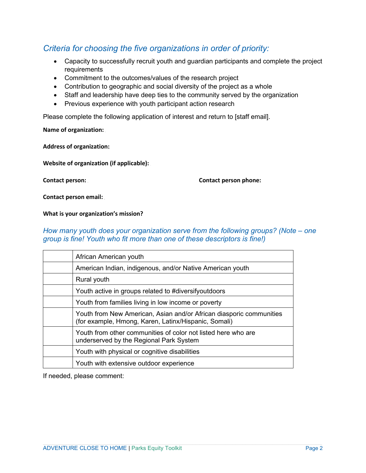# *Criteria for choosing the five organizations in order of priority:*

- Capacity to successfully recruit youth and guardian participants and complete the project requirements
- Commitment to the outcomes/values of the research project
- Contribution to geographic and social diversity of the project as a whole
- Staff and leadership have deep ties to the community served by the organization
- Previous experience with youth participant action research

Please complete the following application of interest and return to [staff email].

**Name of organization:** 

**Address of organization:** 

Website of organization (if applicable):

**Contact person:** *37T* **Contact person phone:***37T*

**Contact person email:** 

**What is your organization's mission?**

### *How many youth does your organization serve from the following groups? (Note – one group is fine! Youth who fit more than one of these descriptors is fine!)*

| African American youth                                                                                                      |
|-----------------------------------------------------------------------------------------------------------------------------|
| American Indian, indigenous, and/or Native American youth                                                                   |
| Rural youth                                                                                                                 |
| Youth active in groups related to #diversifyoutdoors                                                                        |
| Youth from families living in low income or poverty                                                                         |
| Youth from New American, Asian and/or African diasporic communities<br>(for example, Hmong, Karen, Latinx/Hispanic, Somali) |
| Youth from other communities of color not listed here who are<br>underserved by the Regional Park System                    |
| Youth with physical or cognitive disabilities                                                                               |
| Youth with extensive outdoor experience                                                                                     |
|                                                                                                                             |

If needed, please comment: